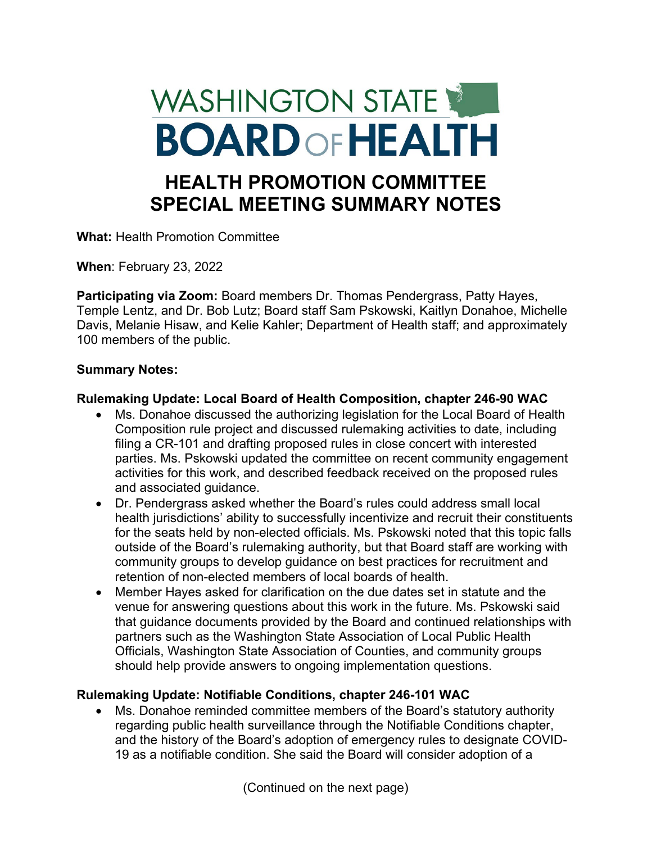# WASHINGTON STATE **BOARD OF HEALTH HEALTH PROMOTION COMMITTEE SPECIAL MEETING SUMMARY NOTES**

**What:** Health Promotion Committee

**When**: February 23, 2022

**Participating via Zoom:** Board members Dr. Thomas Pendergrass, Patty Hayes, Temple Lentz, and Dr. Bob Lutz; Board staff Sam Pskowski, Kaitlyn Donahoe, Michelle Davis, Melanie Hisaw, and Kelie Kahler; Department of Health staff; and approximately 100 members of the public.

#### **Summary Notes:**

#### **Rulemaking Update: Local Board of Health Composition, chapter 246-90 WAC**

- Ms. Donahoe discussed the authorizing legislation for the Local Board of Health Composition rule project and discussed rulemaking activities to date, including filing a CR-101 and drafting proposed rules in close concert with interested parties. Ms. Pskowski updated the committee on recent community engagement activities for this work, and described feedback received on the proposed rules and associated guidance.
- Dr. Pendergrass asked whether the Board's rules could address small local health jurisdictions' ability to successfully incentivize and recruit their constituents for the seats held by non-elected officials. Ms. Pskowski noted that this topic falls outside of the Board's rulemaking authority, but that Board staff are working with community groups to develop guidance on best practices for recruitment and retention of non-elected members of local boards of health.
- Member Hayes asked for clarification on the due dates set in statute and the venue for answering questions about this work in the future. Ms. Pskowski said that guidance documents provided by the Board and continued relationships with partners such as the Washington State Association of Local Public Health Officials, Washington State Association of Counties, and community groups should help provide answers to ongoing implementation questions.

## **Rulemaking Update: Notifiable Conditions, chapter 246-101 WAC**

• Ms. Donahoe reminded committee members of the Board's statutory authority regarding public health surveillance through the Notifiable Conditions chapter, and the history of the Board's adoption of emergency rules to designate COVID-19 as a notifiable condition. She said the Board will consider adoption of a